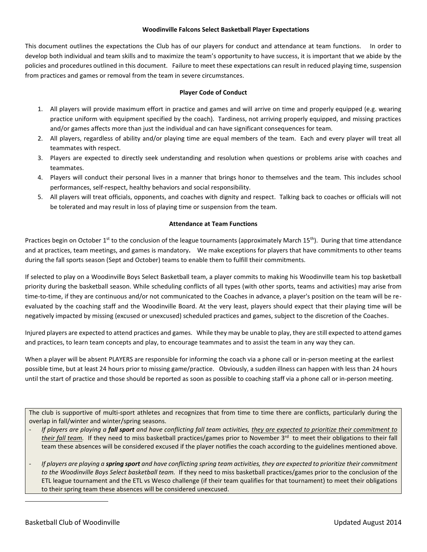#### **Woodinville Falcons Select Basketball Player Expectations**

This document outlines the expectations the Club has of our players for conduct and attendance at team functions. In order to develop both individual and team skills and to maximize the team's opportunity to have success, it is important that we abide by the policies and procedures outlined in this document. Failure to meet these expectations can result in reduced playing time, suspension from practices and games or removal from the team in severe circumstances.

## **Player Code of Conduct**

- 1. All players will provide maximum effort in practice and games and will arrive on time and properly equipped (e.g. wearing practice uniform with equipment specified by the coach). Tardiness, not arriving properly equipped, and missing practices and/or games affects more than just the individual and can have significant consequences for team.
- 2. All players, regardless of ability and/or playing time are equal members of the team. Each and every player will treat all teammates with respect.
- 3. Players are expected to directly seek understanding and resolution when questions or problems arise with coaches and teammates.
- 4. Players will conduct their personal lives in a manner that brings honor to themselves and the team. This includes school performances, self-respect, healthy behaviors and social responsibility.
- 5. All players will treat officials, opponents, and coaches with dignity and respect. Talking back to coaches or officials will not be tolerated and may result in loss of playing time or suspension from the team.

### **Attendance at Team Functions**

Practices begin on October 1<sup>st</sup> to the conclusion of the league tournaments (approximately March 15<sup>th</sup>). During that time attendance and at practices, team meetings, and games is mandatory**.** We make exceptions for players that have commitments to other teams during the fall sports season (Sept and October) teams to enable them to fulfill their commitments.

If selected to play on a Woodinville Boys Select Basketball team, a player commits to making his Woodinville team his top basketball priority during the basketball season. While scheduling conflicts of all types (with other sports, teams and activities) may arise from time-to-time, if they are continuous and/or not communicated to the Coaches in advance, a player's position on the team will be reevaluated by the coaching staff and the Woodinville Board. At the very least, players should expect that their playing time will be negatively impacted by missing (excused or unexcused) scheduled practices and games, subject to the discretion of the Coaches.

Injured players are expected to attend practices and games. While they may be unable to play, they are still expected to attend games and practices, to learn team concepts and play, to encourage teammates and to assist the team in any way they can.

When a player will be absent PLAYERS are responsible for informing the coach via a phone call or in-person meeting at the earliest possible time, but at least 24 hours prior to missing game/practice. Obviously, a sudden illness can happen with less than 24 hours until the start of practice and those should be reported as soon as possible to coaching staff via a phone call or in-person meeting.

The club is supportive of multi-sport athletes and recognizes that from time to time there are conflicts, particularly during the overlap in fall/winter and winter/spring seasons.

- *If players are playing a fall sport and have conflicting fall team activities, they are expected to prioritize their commitment to*  their fall team. If they need to miss basketball practices/games prior to November 3<sup>rd</sup> to meet their obligations to their fall team these absences will be considered excused if the player notifies the coach according to the guidelines mentioned above.
- *If players are playing a spring sport and have conflicting spring team activities, they are expected to prioritize their commitment to the Woodinville Boys Select basketball team.* If they need to miss basketball practices/games prior to the conclusion of the ETL league tournament and the ETL vs Wesco challenge (if their team qualifies for that tournament) to meet their obligations to their spring team these absences will be considered unexcused.